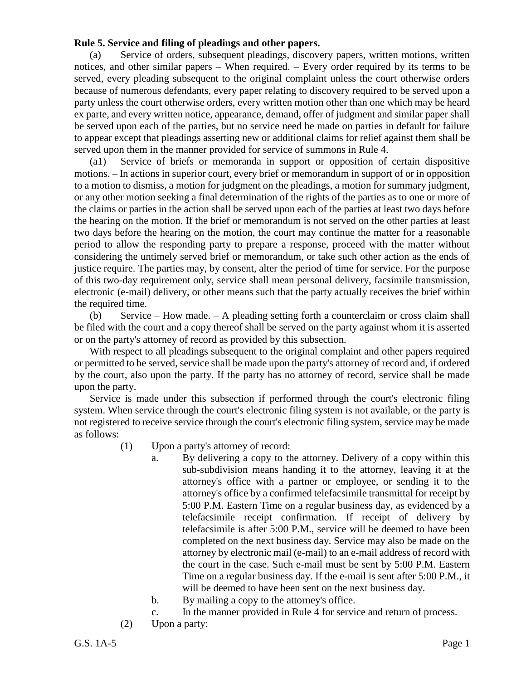## **Rule 5. Service and filing of pleadings and other papers.**

(a) Service of orders, subsequent pleadings, discovery papers, written motions, written notices, and other similar papers – When required. – Every order required by its terms to be served, every pleading subsequent to the original complaint unless the court otherwise orders because of numerous defendants, every paper relating to discovery required to be served upon a party unless the court otherwise orders, every written motion other than one which may be heard ex parte, and every written notice, appearance, demand, offer of judgment and similar paper shall be served upon each of the parties, but no service need be made on parties in default for failure to appear except that pleadings asserting new or additional claims for relief against them shall be served upon them in the manner provided for service of summons in Rule 4.

(a1) Service of briefs or memoranda in support or opposition of certain dispositive motions. – In actions in superior court, every brief or memorandum in support of or in opposition to a motion to dismiss, a motion for judgment on the pleadings, a motion for summary judgment, or any other motion seeking a final determination of the rights of the parties as to one or more of the claims or parties in the action shall be served upon each of the parties at least two days before the hearing on the motion. If the brief or memorandum is not served on the other parties at least two days before the hearing on the motion, the court may continue the matter for a reasonable period to allow the responding party to prepare a response, proceed with the matter without considering the untimely served brief or memorandum, or take such other action as the ends of justice require. The parties may, by consent, alter the period of time for service. For the purpose of this two-day requirement only, service shall mean personal delivery, facsimile transmission, electronic (e-mail) delivery, or other means such that the party actually receives the brief within the required time.

(b) Service – How made. – A pleading setting forth a counterclaim or cross claim shall be filed with the court and a copy thereof shall be served on the party against whom it is asserted or on the party's attorney of record as provided by this subsection.

With respect to all pleadings subsequent to the original complaint and other papers required or permitted to be served, service shall be made upon the party's attorney of record and, if ordered by the court, also upon the party. If the party has no attorney of record, service shall be made upon the party.

Service is made under this subsection if performed through the court's electronic filing system. When service through the court's electronic filing system is not available, or the party is not registered to receive service through the court's electronic filing system, service may be made as follows:

- (1) Upon a party's attorney of record:
	- a. By delivering a copy to the attorney. Delivery of a copy within this sub-subdivision means handing it to the attorney, leaving it at the attorney's office with a partner or employee, or sending it to the attorney's office by a confirmed telefacsimile transmittal for receipt by 5:00 P.M. Eastern Time on a regular business day, as evidenced by a telefacsimile receipt confirmation. If receipt of delivery by telefacsimile is after 5:00 P.M., service will be deemed to have been completed on the next business day. Service may also be made on the attorney by electronic mail (e-mail) to an e-mail address of record with the court in the case. Such e-mail must be sent by 5:00 P.M. Eastern Time on a regular business day. If the e-mail is sent after 5:00 P.M., it will be deemed to have been sent on the next business day.
	- b. By mailing a copy to the attorney's office.
	- c. In the manner provided in Rule 4 for service and return of process.
- (2) Upon a party: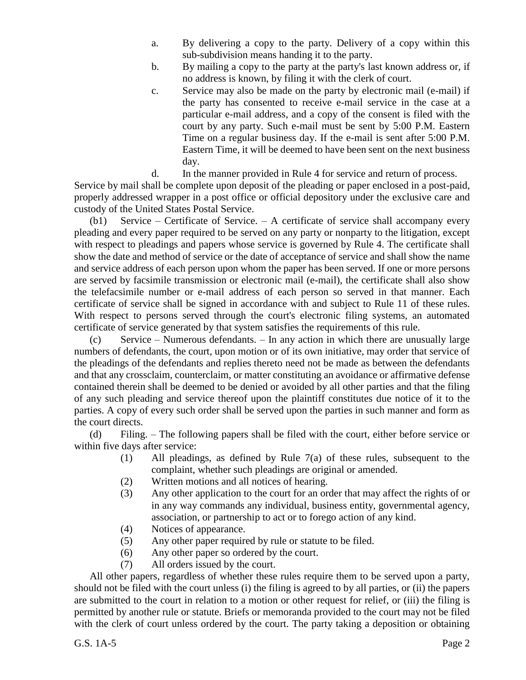- a. By delivering a copy to the party. Delivery of a copy within this sub-subdivision means handing it to the party.
- b. By mailing a copy to the party at the party's last known address or, if no address is known, by filing it with the clerk of court.
- c. Service may also be made on the party by electronic mail (e-mail) if the party has consented to receive e-mail service in the case at a particular e-mail address, and a copy of the consent is filed with the court by any party. Such e-mail must be sent by 5:00 P.M. Eastern Time on a regular business day. If the e-mail is sent after 5:00 P.M. Eastern Time, it will be deemed to have been sent on the next business day.
- d. In the manner provided in Rule 4 for service and return of process.

Service by mail shall be complete upon deposit of the pleading or paper enclosed in a post-paid, properly addressed wrapper in a post office or official depository under the exclusive care and custody of the United States Postal Service.

(b1) Service – Certificate of Service. – A certificate of service shall accompany every pleading and every paper required to be served on any party or nonparty to the litigation, except with respect to pleadings and papers whose service is governed by Rule 4. The certificate shall show the date and method of service or the date of acceptance of service and shall show the name and service address of each person upon whom the paper has been served. If one or more persons are served by facsimile transmission or electronic mail (e-mail), the certificate shall also show the telefacsimile number or e-mail address of each person so served in that manner. Each certificate of service shall be signed in accordance with and subject to Rule 11 of these rules. With respect to persons served through the court's electronic filing systems, an automated certificate of service generated by that system satisfies the requirements of this rule.

(c) Service – Numerous defendants. – In any action in which there are unusually large numbers of defendants, the court, upon motion or of its own initiative, may order that service of the pleadings of the defendants and replies thereto need not be made as between the defendants and that any crossclaim, counterclaim, or matter constituting an avoidance or affirmative defense contained therein shall be deemed to be denied or avoided by all other parties and that the filing of any such pleading and service thereof upon the plaintiff constitutes due notice of it to the parties. A copy of every such order shall be served upon the parties in such manner and form as the court directs.

(d) Filing. – The following papers shall be filed with the court, either before service or within five days after service:

- (1) All pleadings, as defined by Rule 7(a) of these rules, subsequent to the complaint, whether such pleadings are original or amended.
- (2) Written motions and all notices of hearing.
- (3) Any other application to the court for an order that may affect the rights of or in any way commands any individual, business entity, governmental agency, association, or partnership to act or to forego action of any kind.
- (4) Notices of appearance.
- (5) Any other paper required by rule or statute to be filed.
- (6) Any other paper so ordered by the court.
- (7) All orders issued by the court.

All other papers, regardless of whether these rules require them to be served upon a party, should not be filed with the court unless (i) the filing is agreed to by all parties, or (ii) the papers are submitted to the court in relation to a motion or other request for relief, or (iii) the filing is permitted by another rule or statute. Briefs or memoranda provided to the court may not be filed with the clerk of court unless ordered by the court. The party taking a deposition or obtaining